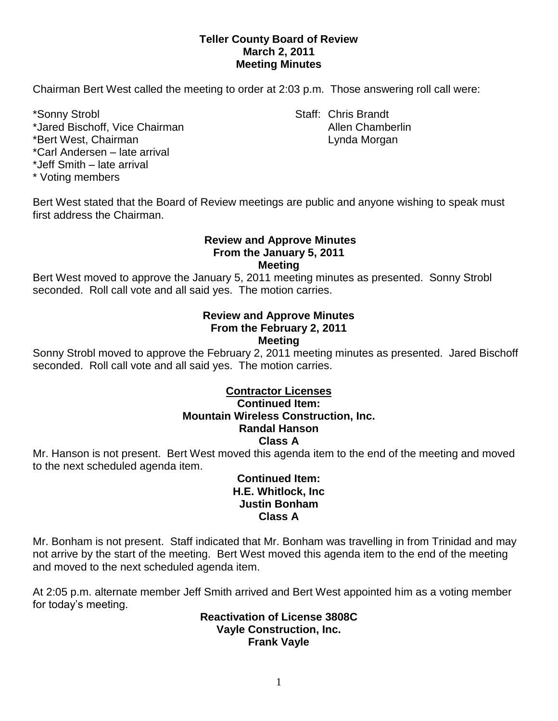# **Teller County Board of Review March 2, 2011 Meeting Minutes**

Chairman Bert West called the meeting to order at 2:03 p.m. Those answering roll call were:

\*Jared Bischoff, Vice Chairman Allen Chamberlin \*Bert West, Chairman Lynda Morgan Lynda Morgan

\*Carl Andersen – late arrival

\*Jeff Smith – late arrival

\* Voting members

\*Sonny Strobl Staff: Chris Brandt

Bert West stated that the Board of Review meetings are public and anyone wishing to speak must first address the Chairman.

### **Review and Approve Minutes From the January 5, 2011 Meeting**

Bert West moved to approve the January 5, 2011 meeting minutes as presented. Sonny Strobl seconded. Roll call vote and all said yes. The motion carries.

### **Review and Approve Minutes From the February 2, 2011 Meeting**

Sonny Strobl moved to approve the February 2, 2011 meeting minutes as presented. Jared Bischoff seconded. Roll call vote and all said yes. The motion carries.

### **Contractor Licenses Continued Item: Mountain Wireless Construction, Inc. Randal Hanson Class A**

Mr. Hanson is not present. Bert West moved this agenda item to the end of the meeting and moved to the next scheduled agenda item.

# **Continued Item: H.E. Whitlock, Inc Justin Bonham Class A**

Mr. Bonham is not present. Staff indicated that Mr. Bonham was travelling in from Trinidad and may not arrive by the start of the meeting. Bert West moved this agenda item to the end of the meeting and moved to the next scheduled agenda item.

At 2:05 p.m. alternate member Jeff Smith arrived and Bert West appointed him as a voting member for today's meeting.

**Reactivation of License 3808C Vayle Construction, Inc. Frank Vayle**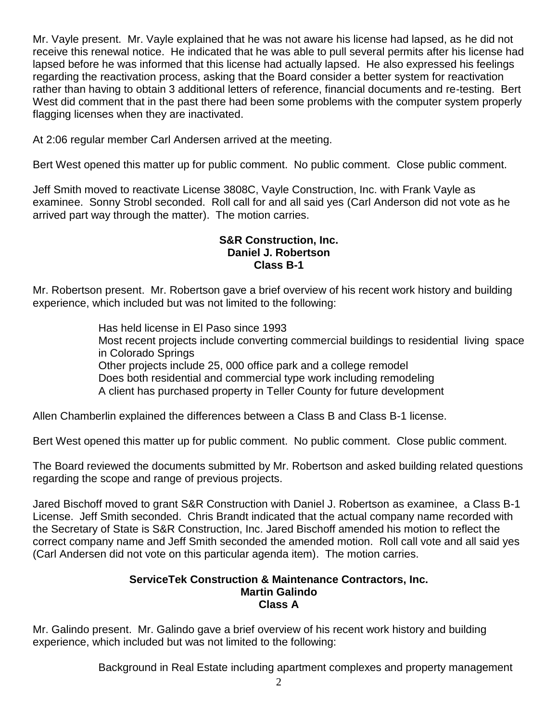Mr. Vayle present. Mr. Vayle explained that he was not aware his license had lapsed, as he did not receive this renewal notice. He indicated that he was able to pull several permits after his license had lapsed before he was informed that this license had actually lapsed. He also expressed his feelings regarding the reactivation process, asking that the Board consider a better system for reactivation rather than having to obtain 3 additional letters of reference, financial documents and re-testing. Bert West did comment that in the past there had been some problems with the computer system properly flagging licenses when they are inactivated.

At 2:06 regular member Carl Andersen arrived at the meeting.

Bert West opened this matter up for public comment. No public comment. Close public comment.

Jeff Smith moved to reactivate License 3808C, Vayle Construction, Inc. with Frank Vayle as examinee. Sonny Strobl seconded. Roll call for and all said yes (Carl Anderson did not vote as he arrived part way through the matter). The motion carries.

# **S&R Construction, Inc. Daniel J. Robertson Class B-1**

Mr. Robertson present. Mr. Robertson gave a brief overview of his recent work history and building experience, which included but was not limited to the following:

> Has held license in El Paso since 1993 Most recent projects include converting commercial buildings to residential living space in Colorado Springs Other projects include 25, 000 office park and a college remodel Does both residential and commercial type work including remodeling A client has purchased property in Teller County for future development

Allen Chamberlin explained the differences between a Class B and Class B-1 license.

Bert West opened this matter up for public comment. No public comment. Close public comment.

The Board reviewed the documents submitted by Mr. Robertson and asked building related questions regarding the scope and range of previous projects.

Jared Bischoff moved to grant S&R Construction with Daniel J. Robertson as examinee, a Class B-1 License. Jeff Smith seconded. Chris Brandt indicated that the actual company name recorded with the Secretary of State is S&R Construction, Inc. Jared Bischoff amended his motion to reflect the correct company name and Jeff Smith seconded the amended motion. Roll call vote and all said yes (Carl Andersen did not vote on this particular agenda item). The motion carries.

# **ServiceTek Construction & Maintenance Contractors, Inc. Martin Galindo Class A**

Mr. Galindo present. Mr. Galindo gave a brief overview of his recent work history and building experience, which included but was not limited to the following:

Background in Real Estate including apartment complexes and property management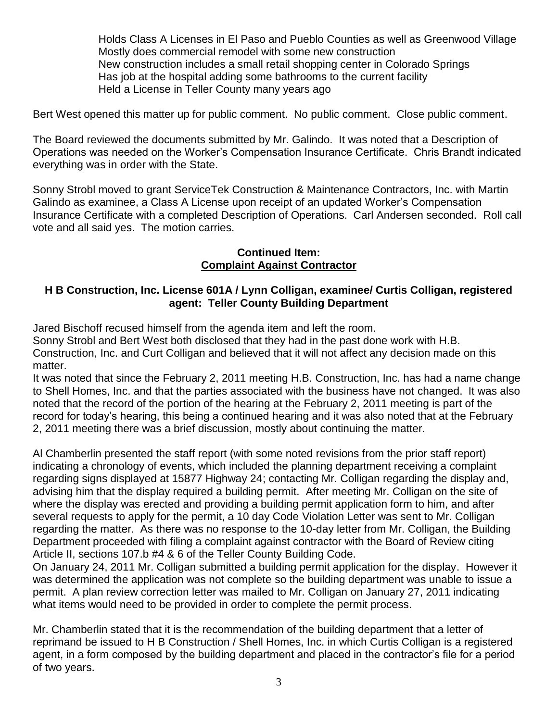Holds Class A Licenses in El Paso and Pueblo Counties as well as Greenwood Village Mostly does commercial remodel with some new construction New construction includes a small retail shopping center in Colorado Springs Has job at the hospital adding some bathrooms to the current facility Held a License in Teller County many years ago

Bert West opened this matter up for public comment. No public comment. Close public comment.

The Board reviewed the documents submitted by Mr. Galindo. It was noted that a Description of Operations was needed on the Worker's Compensation Insurance Certificate. Chris Brandt indicated everything was in order with the State.

Sonny Strobl moved to grant ServiceTek Construction & Maintenance Contractors, Inc. with Martin Galindo as examinee, a Class A License upon receipt of an updated Worker's Compensation Insurance Certificate with a completed Description of Operations. Carl Andersen seconded. Roll call vote and all said yes. The motion carries.

## **Continued Item: Complaint Against Contractor**

# **H B Construction, Inc. License 601A / Lynn Colligan, examinee/ Curtis Colligan, registered agent: Teller County Building Department**

Jared Bischoff recused himself from the agenda item and left the room.

Sonny Strobl and Bert West both disclosed that they had in the past done work with H.B. Construction, Inc. and Curt Colligan and believed that it will not affect any decision made on this matter.

It was noted that since the February 2, 2011 meeting H.B. Construction, Inc. has had a name change to Shell Homes, Inc. and that the parties associated with the business have not changed. It was also noted that the record of the portion of the hearing at the February 2, 2011 meeting is part of the record for today's hearing, this being a continued hearing and it was also noted that at the February 2, 2011 meeting there was a brief discussion, mostly about continuing the matter.

Al Chamberlin presented the staff report (with some noted revisions from the prior staff report) indicating a chronology of events, which included the planning department receiving a complaint regarding signs displayed at 15877 Highway 24; contacting Mr. Colligan regarding the display and, advising him that the display required a building permit. After meeting Mr. Colligan on the site of where the display was erected and providing a building permit application form to him, and after several requests to apply for the permit, a 10 day Code Violation Letter was sent to Mr. Colligan regarding the matter. As there was no response to the 10-day letter from Mr. Colligan, the Building Department proceeded with filing a complaint against contractor with the Board of Review citing Article II, sections 107.b #4 & 6 of the Teller County Building Code.

On January 24, 2011 Mr. Colligan submitted a building permit application for the display. However it was determined the application was not complete so the building department was unable to issue a permit. A plan review correction letter was mailed to Mr. Colligan on January 27, 2011 indicating what items would need to be provided in order to complete the permit process.

Mr. Chamberlin stated that it is the recommendation of the building department that a letter of reprimand be issued to H B Construction / Shell Homes, Inc. in which Curtis Colligan is a registered agent, in a form composed by the building department and placed in the contractor's file for a period of two years.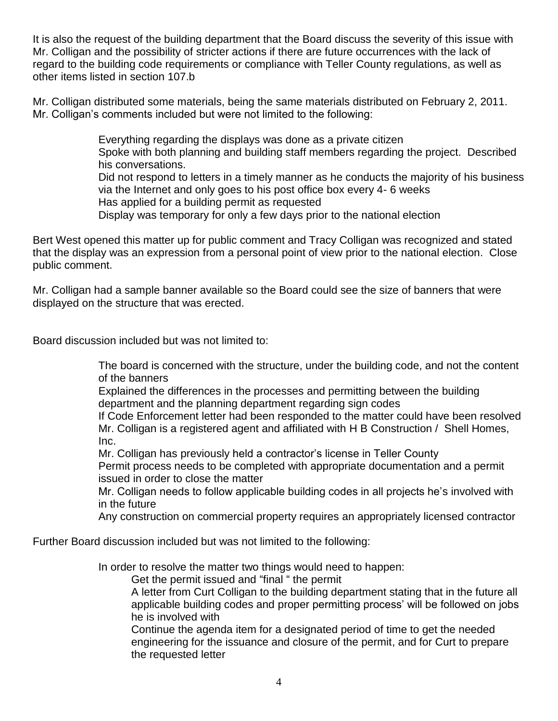It is also the request of the building department that the Board discuss the severity of this issue with Mr. Colligan and the possibility of stricter actions if there are future occurrences with the lack of regard to the building code requirements or compliance with Teller County regulations, as well as other items listed in section 107.b

Mr. Colligan distributed some materials, being the same materials distributed on February 2, 2011. Mr. Colligan's comments included but were not limited to the following:

> Everything regarding the displays was done as a private citizen Spoke with both planning and building staff members regarding the project. Described his conversations. Did not respond to letters in a timely manner as he conducts the majority of his business via the Internet and only goes to his post office box every 4- 6 weeks Has applied for a building permit as requested

Display was temporary for only a few days prior to the national election

Bert West opened this matter up for public comment and Tracy Colligan was recognized and stated that the display was an expression from a personal point of view prior to the national election. Close public comment.

Mr. Colligan had a sample banner available so the Board could see the size of banners that were displayed on the structure that was erected.

Board discussion included but was not limited to:

The board is concerned with the structure, under the building code, and not the content of the banners

Explained the differences in the processes and permitting between the building department and the planning department regarding sign codes

If Code Enforcement letter had been responded to the matter could have been resolved Mr. Colligan is a registered agent and affiliated with H B Construction / Shell Homes, Inc.

Mr. Colligan has previously held a contractor's license in Teller County

Permit process needs to be completed with appropriate documentation and a permit issued in order to close the matter

Mr. Colligan needs to follow applicable building codes in all projects he's involved with in the future

Any construction on commercial property requires an appropriately licensed contractor

Further Board discussion included but was not limited to the following:

In order to resolve the matter two things would need to happen:

Get the permit issued and "final " the permit

A letter from Curt Colligan to the building department stating that in the future all applicable building codes and proper permitting process' will be followed on jobs he is involved with

Continue the agenda item for a designated period of time to get the needed engineering for the issuance and closure of the permit, and for Curt to prepare the requested letter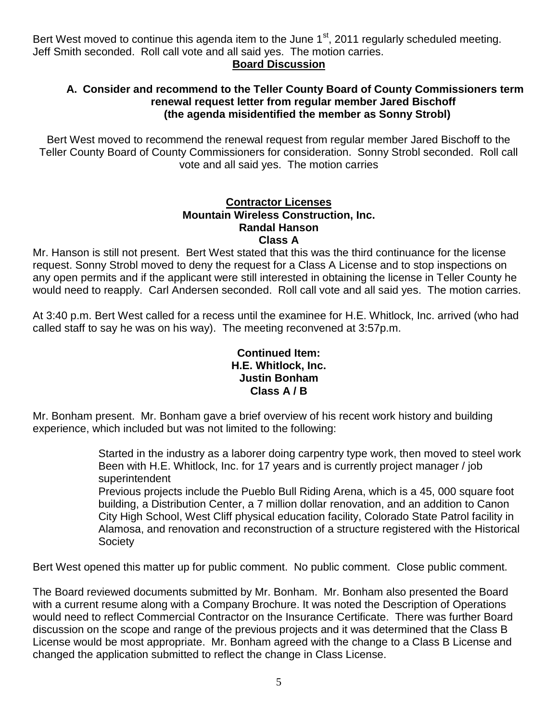Bert West moved to continue this agenda item to the June  $1<sup>st</sup>$ , 2011 regularly scheduled meeting. Jeff Smith seconded. Roll call vote and all said yes. The motion carries.

# **Board Discussion**

# **A. Consider and recommend to the Teller County Board of County Commissioners term renewal request letter from regular member Jared Bischoff (the agenda misidentified the member as Sonny Strobl)**

Bert West moved to recommend the renewal request from regular member Jared Bischoff to the Teller County Board of County Commissioners for consideration. Sonny Strobl seconded. Roll call vote and all said yes. The motion carries

### **Contractor Licenses Mountain Wireless Construction, Inc. Randal Hanson Class A**

Mr. Hanson is still not present. Bert West stated that this was the third continuance for the license request. Sonny Strobl moved to deny the request for a Class A License and to stop inspections on any open permits and if the applicant were still interested in obtaining the license in Teller County he would need to reapply. Carl Andersen seconded. Roll call vote and all said yes. The motion carries.

At 3:40 p.m. Bert West called for a recess until the examinee for H.E. Whitlock, Inc. arrived (who had called staff to say he was on his way). The meeting reconvened at 3:57p.m.

## **Continued Item: H.E. Whitlock, Inc. Justin Bonham Class A / B**

Mr. Bonham present. Mr. Bonham gave a brief overview of his recent work history and building experience, which included but was not limited to the following:

> Started in the industry as a laborer doing carpentry type work, then moved to steel work Been with H.E. Whitlock, Inc. for 17 years and is currently project manager / job superintendent

> Previous projects include the Pueblo Bull Riding Arena, which is a 45, 000 square foot building, a Distribution Center, a 7 million dollar renovation, and an addition to Canon City High School, West Cliff physical education facility, Colorado State Patrol facility in Alamosa, and renovation and reconstruction of a structure registered with the Historical **Society**

Bert West opened this matter up for public comment. No public comment. Close public comment.

The Board reviewed documents submitted by Mr. Bonham. Mr. Bonham also presented the Board with a current resume along with a Company Brochure. It was noted the Description of Operations would need to reflect Commercial Contractor on the Insurance Certificate. There was further Board discussion on the scope and range of the previous projects and it was determined that the Class B License would be most appropriate. Mr. Bonham agreed with the change to a Class B License and changed the application submitted to reflect the change in Class License.